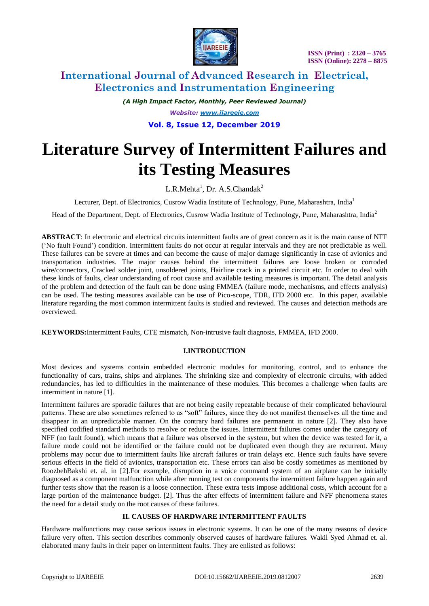

# **International Journal of Advanced Research in Electrical, Electronics and Instrumentation Engineering**

*(A High Impact Factor, Monthly, Peer Reviewed Journal) Website: [www.ijareeie.com](http://www.ijareeie.com/)* **Vol. 8, Issue 12, December 2019**

# **Literature Survey of Intermittent Failures and its Testing Measures**

 $L.R.Methta<sup>1</sup>$ , Dr. A.S.Chandak<sup>2</sup>

Lecturer, Dept. of Electronics, Cusrow Wadia Institute of Technology, Pune, Maharashtra, India<sup>1</sup>

Head of the Department, Dept. of Electronics, Cusrow Wadia Institute of Technology, Pune, Maharashtra, India<sup>2</sup>

**ABSTRACT**: In electronic and electrical circuits intermittent faults are of great concern as it is the main cause of NFF ('No fault Found') condition. Intermittent faults do not occur at regular intervals and they are not predictable as well. These failures can be severe at times and can become the cause of major damage significantly in case of avionics and transportation industries. The major causes behind the intermittent failures are loose broken or corroded wire/connectors, Cracked solder joint, unsoldered joints, Hairline crack in a printed circuit etc. In order to deal with these kinds of faults, clear understanding of root cause and available testing measures is important. The detail analysis of the problem and detection of the fault can be done using FMMEA (failure mode, mechanisms, and effects analysis) can be used. The testing measures available can be use of Pico-scope, TDR, IFD 2000 etc. In this paper, available literature regarding the most common intermittent faults is studied and reviewed. The causes and detection methods are overviewed.

**KEYWORDS:**Intermittent Faults, CTE mismatch, Non-intrusive fault diagnosis, FMMEA, IFD 2000.

# **I.INTRODUCTION**

Most devices and systems contain embedded electronic modules for monitoring, control, and to enhance the functionality of cars, trains, ships and airplanes. The shrinking size and complexity of electronic circuits, with added redundancies, has led to difficulties in the maintenance of these modules. This becomes a challenge when faults are intermittent in nature [1].

Intermittent failures are sporadic failures that are not being easily repeatable because of their complicated behavioural patterns. These are also sometimes referred to as "soft" failures, since they do not manifest themselves all the time and disappear in an unpredictable manner. On the contrary hard failures are permanent in nature [2]. They also have specified codified standard methods to resolve or reduce the issues. Intermittent failures comes under the category of NFF (no fault found), which means that a failure was observed in the system, but when the device was tested for it, a failure mode could not be identified or the failure could not be duplicated even though they are recurrent. Many problems may occur due to intermittent faults like aircraft failures or train delays etc. Hence such faults have severe serious effects in the field of avionics, transportation etc. These errors can also be costly sometimes as mentioned by RoozbehBakshi et. al. in [2].For example, disruption in a voice command system of an airplane can be initially diagnosed as a component malfunction while after running test on components the intermittent failure happen again and further tests show that the reason is a loose connection. These extra tests impose additional costs, which account for a large portion of the maintenance budget. [2]. Thus the after effects of intermittent failure and NFF phenomena states the need for a detail study on the root causes of these failures.

# **II. CAUSES OF HARDWARE INTERMITTENT FAULTS**

Hardware malfunctions may cause serious issues in electronic systems. It can be one of the many reasons of device failure very often. This section describes commonly observed causes of hardware failures. Wakil Syed Ahmad et. al. elaborated many faults in their paper on intermittent faults. They are enlisted as follows: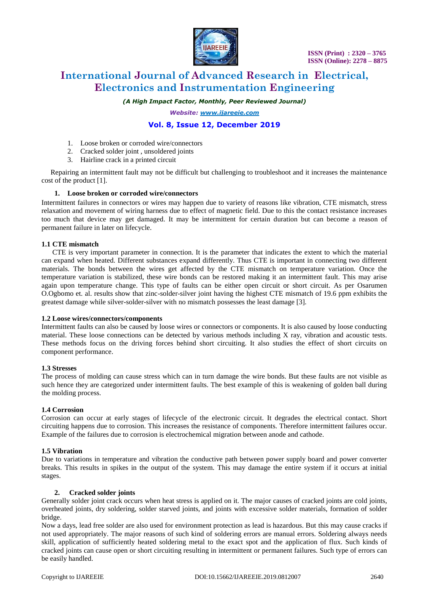

# **International Journal of Advanced Research in Electrical, Electronics and Instrumentation Engineering**

*(A High Impact Factor, Monthly, Peer Reviewed Journal)*

*Website: [www.ijareeie.com](http://www.ijareeie.com/)*

# **Vol. 8, Issue 12, December 2019**

- 1. Loose broken or corroded wire/connectors
- 2. Cracked solder joint , unsoldered joints
- 3. Hairline crack in a printed circuit

 Repairing an intermittent fault may not be difficult but challenging to troubleshoot and it increases the maintenance cost of the product [1].

## **1. Loose broken or corroded wire/connectors**

Intermittent failures in connectors or wires may happen due to variety of reasons like vibration, CTE mismatch, stress relaxation and movement of wiring harness due to effect of magnetic field. Due to this the contact resistance increases too much that device may get damaged. It may be intermittent for certain duration but can become a reason of permanent failure in later on lifecycle.

## **1.1 CTE mismatch**

 CTE is very important parameter in connection. It is the parameter that indicates the extent to which the material can expand when heated. Different substances expand differently. Thus CTE is important in connecting two different materials. The bonds between the wires get affected by the CTE mismatch on temperature variation. Once the temperature variation is stabilized, these wire bonds can be restored making it an intermittent fault. This may arise again upon temperature change. This type of faults can be either open circuit or short circuit. As per Osarumen O.Ogbomo et. al. results show that zinc-solder-silver joint having the highest CTE mismatch of 19.6 ppm exhibits the greatest damage while silver-solder-silver with no mismatch possesses the least damage [3].

#### **1.2 Loose wires/connectors/components**

Intermittent faults can also be caused by loose wires or connectors or components. It is also caused by loose conducting material. These loose connections can be detected by various methods including X ray, vibration and acoustic tests. These methods focus on the driving forces behind short circuiting. It also studies the effect of short circuits on component performance.

#### **1.3 Stresses**

The process of molding can cause stress which can in turn damage the wire bonds. But these faults are not visible as such hence they are categorized under intermittent faults. The best example of this is weakening of golden ball during the molding process.

# **1.4 Corrosion**

Corrosion can occur at early stages of lifecycle of the electronic circuit. It degrades the electrical contact. Short circuiting happens due to corrosion. This increases the resistance of components. Therefore intermittent failures occur. Example of the failures due to corrosion is electrochemical migration between anode and cathode.

# **1.5 Vibration**

Due to variations in temperature and vibration the conductive path between power supply board and power converter breaks. This results in spikes in the output of the system. This may damage the entire system if it occurs at initial stages.

#### **2. Cracked solder joints**

Generally solder joint crack occurs when heat stress is applied on it. The major causes of cracked joints are cold joints, overheated joints, dry soldering, solder starved joints, and joints with excessive solder materials, formation of solder bridge.

Now a days, lead free solder are also used for environment protection as lead is hazardous. But this may cause cracks if not used appropriately. The major reasons of such kind of soldering errors are manual errors. Soldering always needs skill, application of sufficiently heated soldering metal to the exact spot and the application of flux. Such kinds of cracked joints can cause open or short circuiting resulting in intermittent or permanent failures. Such type of errors can be easily handled.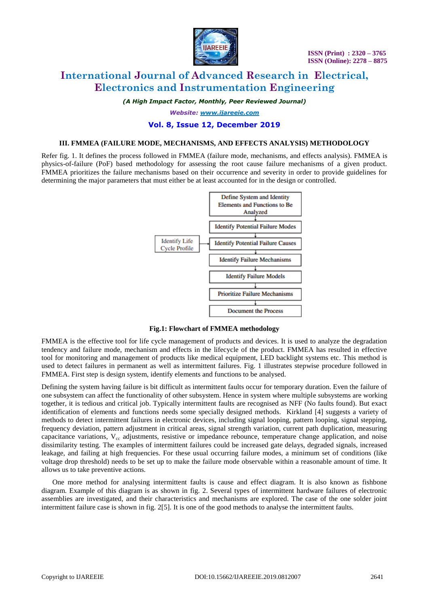

# **International Journal of Advanced Research in Electrical, Electronics and Instrumentation Engineering**

*(A High Impact Factor, Monthly, Peer Reviewed Journal)*

*Website: [www.ijareeie.com](http://www.ijareeie.com/)*

# **Vol. 8, Issue 12, December 2019**

## **III. FMMEA (FAILURE MODE, MECHANISMS, AND EFFECTS ANALYSIS) METHODOLOGY**

Refer fig. 1. It defines the process followed in FMMEA (failure mode, mechanisms, and effects analysis). FMMEA is physics-of-failure (PoF) based methodology for assessing the root cause failure mechanisms of a given product. FMMEA prioritizes the failure mechanisms based on their occurrence and severity in order to provide guidelines for determining the major parameters that must either be at least accounted for in the design or controlled.



#### **Fig.1: Flowchart of FMMEA methodology**

FMMEA is the effective tool for life cycle management of products and devices. It is used to analyze the degradation tendency and failure mode, mechanism and effects in the lifecycle of the product. FMMEA has resulted in effective tool for monitoring and management of products like medical equipment, LED backlight systems etc. This method is used to detect failures in permanent as well as intermittent failures. Fig. 1 illustrates stepwise procedure followed in FMMEA. First step is design system, identify elements and functions to be analysed.

Defining the system having failure is bit difficult as intermittent faults occur for temporary duration. Even the failure of one subsystem can affect the functionality of other subsystem. Hence in system where multiple subsystems are working together, it is tedious and critical job. Typically intermittent faults are recognised as NFF (No faults found). But exact identification of elements and functions needs some specially designed methods. Kirkland [4] suggests a variety of methods to detect intermittent failures in electronic devices, including signal looping, pattern looping, signal stepping, frequency deviation, pattern adjustment in critical areas, signal strength variation, current path duplication, measuring capacitance variations,  $V_{cc}$  adjustments, resistive or impedance rebounce, temperature change application, and noise dissimilarity testing. The examples of intermittent failures could be increased gate delays, degraded signals, increased leakage, and failing at high frequencies. For these usual occurring failure modes, a minimum set of conditions (like voltage drop threshold) needs to be set up to make the failure mode observable within a reasonable amount of time. It allows us to take preventive actions.

 One more method for analysing intermittent faults is cause and effect diagram. It is also known as fishbone diagram. Example of this diagram is as shown in fig. 2. Several types of intermittent hardware failures of electronic assemblies are investigated, and their characteristics and mechanisms are explored. The case of the one solder joint intermittent failure case is shown in fig. 2[5]. It is one of the good methods to analyse the intermittent faults.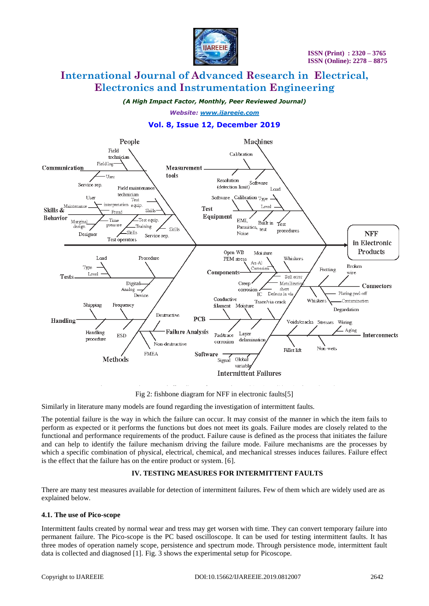

# **International Journal of Advanced Research in Electrical, Electronics and Instrumentation Engineering**

*(A High Impact Factor, Monthly, Peer Reviewed Journal)*

*Website: [www.ijareeie.com](http://www.ijareeie.com/)*

# **Vol. 8, Issue 12, December 2019**



Fig 2: fishbone diagram for NFF in electronic faults[5]

Similarly in literature many models are found regarding the investigation of intermittent faults.

The potential failure is the way in which the failure can occur. It may consist of the manner in which the item fails to perform as expected or it performs the functions but does not meet its goals. Failure modes are closely related to the functional and performance requirements of the product. Failure cause is defined as the process that initiates the failure and can help to identify the failure mechanism driving the failure mode. Failure mechanisms are the processes by which a specific combination of physical, electrical, chemical, and mechanical stresses induces failures. Failure effect is the effect that the failure has on the entire product or system. [6].

# **IV. TESTING MEASURES FOR INTERMITTENT FAULTS**

There are many test measures available for detection of intermittent failures. Few of them which are widely used are as explained below.

# **4.1. The use of Pico-scope**

Intermittent faults created by normal wear and tress may get worsen with time. They can convert temporary failure into permanent failure. The Pico-scope is the PC based oscilloscope. It can be used for testing intermittent faults. It has three modes of operation namely scope, persistence and spectrum mode. Through persistence mode, intermittent fault data is collected and diagnosed [1]. Fig. 3 shows the experimental setup for Picoscope.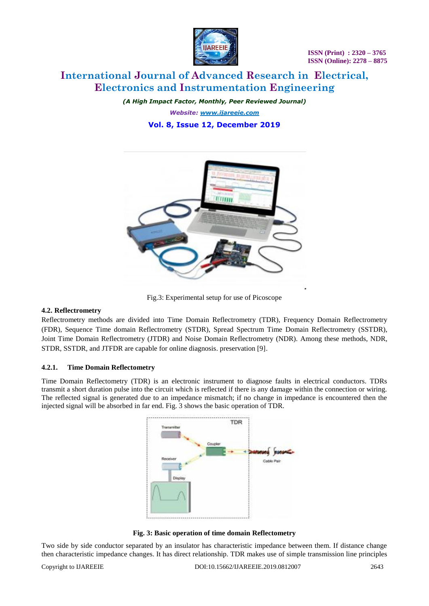

# **International Journal of Advanced Research in Electrical, Electronics and Instrumentation Engineering**

*(A High Impact Factor, Monthly, Peer Reviewed Journal) Website: [www.ijareeie.com](http://www.ijareeie.com/)* **Vol. 8, Issue 12, December 2019**



Fig.3: Experimental setup for use of Picoscope

# **4.2. Reflectrometry**

Reflectrometry methods are divided into Time Domain Reflectrometry (TDR), Frequency Domain Reflectrometry (FDR), Sequence Time domain Reflectrometry (STDR), Spread Spectrum Time Domain Reflectrometry (SSTDR), Joint Time Domain Reflectrometry (JTDR) and Noise Domain Reflectrometry (NDR). Among these methods, NDR, STDR, SSTDR, and JTFDR are capable for online diagnosis. preservation [9].

# **4.2.1. Time Domain Reflectometry**

Time Domain Reflectometry (TDR) is an electronic instrument to diagnose faults in electrical conductors. TDRs transmit a short duration pulse into the circuit which is reflected if there is any damage within the connection or wiring. The reflected signal is generated due to an impedance mismatch; if no change in impedance is encountered then the injected signal will be absorbed in far end. Fig. 3 shows the basic operation of TDR.



**Fig. 3: Basic operation of time domain Reflectometry**

Two side by side conductor separated by an insulator has characteristic impedance between them. If distance change then characteristic impedance changes. It has direct relationship. TDR makes use of simple transmission line principles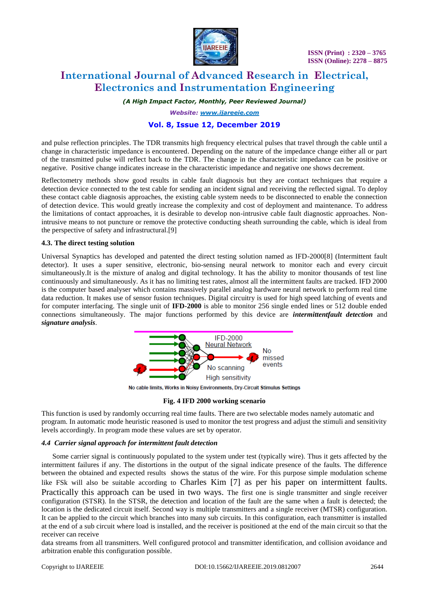

# **International Journal of Advanced Research in Electrical, Electronics and Instrumentation Engineering**

*(A High Impact Factor, Monthly, Peer Reviewed Journal)*

*Website: [www.ijareeie.com](http://www.ijareeie.com/)*

# **Vol. 8, Issue 12, December 2019**

and pulse reflection principles. The TDR transmits high frequency electrical pulses that travel through the cable until a change in characteristic impedance is encountered. Depending on the nature of the impedance change either all or part of the transmitted pulse will reflect back to the TDR. The change in the characteristic impedance can be positive or negative. Positive change indicates increase in the characteristic impedance and negative one shows decrement.

Reflectometry methods show good results in cable fault diagnosis but they are contact techniques that require a detection device connected to the test cable for sending an incident signal and receiving the reflected signal. To deploy these contact cable diagnosis approaches, the existing cable system needs to be disconnected to enable the connection of detection device. This would greatly increase the complexity and cost of deployment and maintenance. To address the limitations of contact approaches, it is desirable to develop non-intrusive cable fault diagnostic approaches. Nonintrusive means to not puncture or remove the protective conducting sheath surrounding the cable, which is ideal from the perspective of safety and infrastructural.[9]

# **4.3. The direct testing solution**

Universal Synaptics has developed and patented the direct testing solution named as IFD-2000[8] (Intermittent fault detector). It uses a super sensitive, electronic, bio-sensing neural network to monitor each and every circuit simultaneously.It is the mixture of analog and digital technology. It has the ability to monitor thousands of test line continuously and simultaneously. As it has no limiting test rates, almost all the intermittent faults are tracked. IFD 2000 is the computer based analyser which contains massively parallel analog hardware neural network to perform real time data reduction. It makes use of sensor fusion techniques. Digital circuitry is used for high speed latching of events and for computer interfacing. The single unit of **IFD-2000** is able to monitor 256 single ended lines or 512 double ended connections simultaneously. The major functions performed by this device are *intermittentfault detection* and *signature analysis*.



No cable limits, Works in Noisy Environments, Dry-Circuit Stimulus Settings

#### **Fig. 4 IFD 2000 working scenario**

This function is used by randomly occurring real time faults. There are two selectable modes namely automatic and program. In automatic mode heuristic reasoned is used to monitor the test progress and adjust the stimuli and sensitivity levels accordingly. In program mode these values are set by operator.

#### *4.4 Carrier signal approach for intermittent fault detection*

 Some carrier signal is continuously populated to the system under test (typically wire). Thus it gets affected by the intermittent failures if any. The distortions in the output of the signal indicate presence of the faults. The difference between the obtained and expected results shows the status of the wire. For this purpose simple modulation scheme like FSk will also be suitable according to Charles Kim [7] as per his paper on intermittent faults. Practically this approach can be used in two ways. The first one is single transmitter and single receiver configuration (STSR). In the STSR, the detection and location of the fault are the same when a fault is detected; the location is the dedicated circuit itself. Second way is multiple transmitters and a single receiver (MTSR) configuration. It can be applied to the circuit which branches into many sub circuits. In this configuration, each transmitter is installed at the end of a sub circuit where load is installed, and the receiver is positioned at the end of the main circuit so that the receiver can receive

data streams from all transmitters. Well configured protocol and transmitter identification, and collision avoidance and arbitration enable this configuration possible.